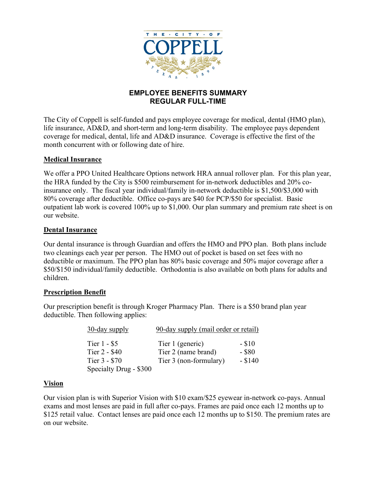

# **EMPLOYEE BENEFITS SUMMARY REGULAR FULL-TIME**

The City of Coppell is self-funded and pays employee coverage for medical, dental (HMO plan), life insurance, AD&D, and short-term and long-term disability. The employee pays dependent coverage for medical, dental, life and AD&D insurance. Coverage is effective the first of the month concurrent with or following date of hire.

# **Medical Insurance**

We offer a PPO United Healthcare Options network HRA annual rollover plan. For this plan year, the HRA funded by the City is \$500 reimbursement for in-network deductibles and 20% coinsurance only. The fiscal year individual/family in-network deductible is \$1,500/\$3,000 with 80% coverage after deductible. Office co-pays are \$40 for PCP/\$50 for specialist. Basic outpatient lab work is covered 100% up to \$1,000. Our plan summary and premium rate sheet is on our website.

# **Dental Insurance**

Our dental insurance is through Guardian and offers the HMO and PPO plan. Both plans include two cleanings each year per person. The HMO out of pocket is based on set fees with no deductible or maximum. The PPO plan has 80% basic coverage and 50% major coverage after a \$50/\$150 individual/family deductible. Orthodontia is also available on both plans for adults and children.

#### **Prescription Benefit**

Our prescription benefit is through Kroger Pharmacy Plan. There is a \$50 brand plan year deductible. Then following applies:

| 30-day supply                                  | 90-day supply (mail order or retail)                              |                                 |
|------------------------------------------------|-------------------------------------------------------------------|---------------------------------|
| Tier 1 - \$5<br>Tier 2 - \$40<br>Tier 3 - \$70 | Tier 1 (generic)<br>Tier 2 (name brand)<br>Tier 3 (non-formulary) | $- $10$<br>$-$ \$80<br>$- $140$ |
| Specialty Drug - \$300                         |                                                                   |                                 |

#### **Vision**

Our vision plan is with Superior Vision with \$10 exam/\$25 eyewear in-network co-pays. Annual exams and most lenses are paid in full after co-pays. Frames are paid once each 12 months up to \$125 retail value. Contact lenses are paid once each 12 months up to \$150. The premium rates are on our website.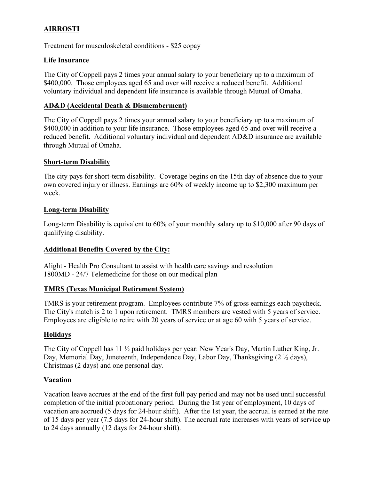# **AIRROSTI**

Treatment for musculoskeletal conditions - \$25 copay

# **Life Insurance**

The City of Coppell pays 2 times your annual salary to your beneficiary up to a maximum of \$400,000. Those employees aged 65 and over will receive a reduced benefit. Additional voluntary individual and dependent life insurance is available through Mutual of Omaha.

# **AD&D (Accidental Death & Dismemberment)**

The City of Coppell pays 2 times your annual salary to your beneficiary up to a maximum of \$400,000 in addition to your life insurance. Those employees aged 65 and over will receive a reduced benefit. Additional voluntary individual and dependent AD&D insurance are available through Mutual of Omaha.

#### **Short-term Disability**

The city pays for short-term disability. Coverage begins on the 15th day of absence due to your own covered injury or illness. Earnings are 60% of weekly income up to \$2,300 maximum per week.

#### **Long-term Disability**

Long-term Disability is equivalent to 60% of your monthly salary up to \$10,000 after 90 days of qualifying disability.

#### **Additional Benefits Covered by the City:**

Alight - Health Pro Consultant to assist with health care savings and resolution 1800MD - 24/7 Telemedicine for those on our medical plan

#### **TMRS (Texas Municipal Retirement System)**

TMRS is your retirement program. Employees contribute 7% of gross earnings each paycheck. The City's match is 2 to 1 upon retirement. TMRS members are vested with 5 years of service. Employees are eligible to retire with 20 years of service or at age 60 with 5 years of service.

#### **Holidays**

The City of Coppell has 11 ½ paid holidays per year: New Year's Day, Martin Luther King, Jr. Day, Memorial Day, Juneteenth, Independence Day, Labor Day, Thanksgiving (2  $\frac{1}{2}$  days), Christmas (2 days) and one personal day.

#### **Vacation**

Vacation leave accrues at the end of the first full pay period and may not be used until successful completion of the initial probationary period. During the 1st year of employment, 10 days of vacation are accrued (5 days for 24-hour shift). After the 1st year, the accrual is earned at the rate of 15 days per year (7.5 days for 24-hour shift). The accrual rate increases with years of service up to 24 days annually (12 days for 24-hour shift).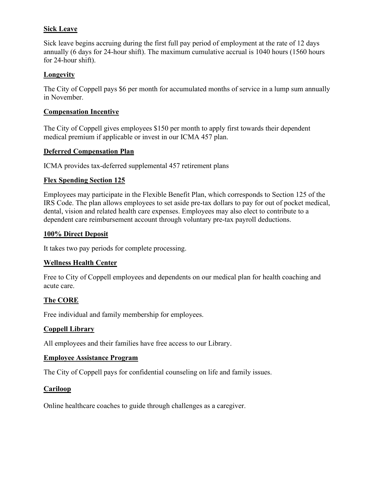# **Sick Leave**

Sick leave begins accruing during the first full pay period of employment at the rate of 12 days annually (6 days for 24-hour shift). The maximum cumulative accrual is 1040 hours (1560 hours for 24-hour shift).

# **Longevity**

The City of Coppell pays \$6 per month for accumulated months of service in a lump sum annually in November.

#### **Compensation Incentive**

The City of Coppell gives employees \$150 per month to apply first towards their dependent medical premium if applicable or invest in our ICMA 457 plan.

#### **Deferred Compensation Plan**

ICMA provides tax-deferred supplemental 457 retirement plans

# **Flex Spending Section 125**

Employees may participate in the Flexible Benefit Plan, which corresponds to Section 125 of the IRS Code. The plan allows employees to set aside pre-tax dollars to pay for out of pocket medical, dental, vision and related health care expenses. Employees may also elect to contribute to a dependent care reimbursement account through voluntary pre-tax payroll deductions.

#### **100% Direct Deposit**

It takes two pay periods for complete processing.

#### **Wellness Health Center**

Free to City of Coppell employees and dependents on our medical plan for health coaching and acute care.

# **The CORE**

Free individual and family membership for employees.

#### **Coppell Library**

All employees and their families have free access to our Library.

#### **Employee Assistance Program**

The City of Coppell pays for confidential counseling on life and family issues.

#### **Cariloop**

Online healthcare coaches to guide through challenges as a caregiver.